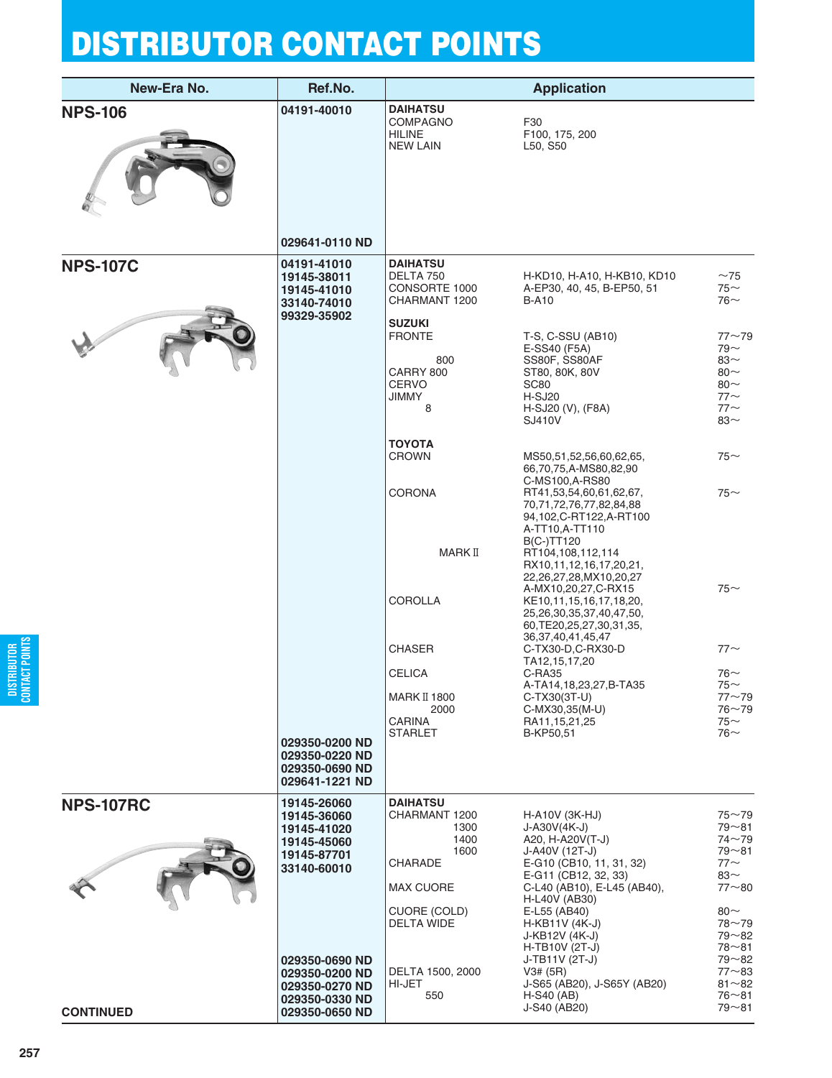| New-Era No.                          | Ref.No.                                                                                                                                                                          |                                                                                                                                                                            | <b>Application</b>                                                                                                                                                                                                                                                                                                                                                                                                                                                                                                                                             |                                                                                                                                                                                                                |
|--------------------------------------|----------------------------------------------------------------------------------------------------------------------------------------------------------------------------------|----------------------------------------------------------------------------------------------------------------------------------------------------------------------------|----------------------------------------------------------------------------------------------------------------------------------------------------------------------------------------------------------------------------------------------------------------------------------------------------------------------------------------------------------------------------------------------------------------------------------------------------------------------------------------------------------------------------------------------------------------|----------------------------------------------------------------------------------------------------------------------------------------------------------------------------------------------------------------|
| <b>NPS-106</b>                       | 04191-40010                                                                                                                                                                      | <b>DAIHATSU</b><br><b>COMPAGNO</b><br><b>HILINE</b><br><b>NEW LAIN</b>                                                                                                     | F30<br>F100, 175, 200<br>L50, S50                                                                                                                                                                                                                                                                                                                                                                                                                                                                                                                              |                                                                                                                                                                                                                |
|                                      | 029641-0110 ND                                                                                                                                                                   |                                                                                                                                                                            |                                                                                                                                                                                                                                                                                                                                                                                                                                                                                                                                                                |                                                                                                                                                                                                                |
| <b>NPS-107C</b>                      | 04191-41010<br>19145-38011<br>19145-41010<br>33140-74010<br>99329-35902                                                                                                          | <b>DAIHATSU</b><br>DELTA 750<br>CONSORTE 1000<br>CHARMANT 1200<br><b>SUZUKI</b><br><b>FRONTE</b><br>800<br>CARRY 800<br><b>CERVO</b><br><b>JIMMY</b><br>8<br><b>TOYOTA</b> | H-KD10, H-A10, H-KB10, KD10<br>A-EP30, 40, 45, B-EP50, 51<br><b>B-A10</b><br>T-S, C-SSU (AB10)<br>E-SS40 (F5A)<br>SS80F, SS80AF<br>ST80, 80K, 80V<br><b>SC80</b><br>H-SJ20<br>H-SJ20 (V), (F8A)<br>SJ410V                                                                                                                                                                                                                                                                                                                                                      | $~1$ $~75$<br>$75$ ~<br>$76$ ~<br>$77 - 79$<br>$79 -$<br>$83~\sim$<br>$80 -$<br>$80 -$<br>$77$ ~<br>$77$ ~<br>$83-$                                                                                            |
|                                      | 029350-0200 ND<br>029350-0220 ND<br>029350-0690 ND<br>029641-1221 ND                                                                                                             | <b>CROWN</b><br><b>CORONA</b><br>MARK II<br><b>COROLLA</b><br><b>CHASER</b><br><b>CELICA</b><br>MARK II 1800<br>2000<br><b>CARINA</b><br><b>STARLET</b>                    | MS50,51,52,56,60,62,65,<br>66,70,75,A-MS80,82,90<br>C-MS100, A-RS80<br>RT41,53,54,60,61,62,67,<br>70,71,72,76,77,82,84,88<br>94,102,C-RT122,A-RT100<br>A-TT10,A-TT110<br><b>B(C-)TT120</b><br>RT104,108,112,114<br>RX10,11,12,16,17,20,21,<br>22,26,27,28,MX10,20,27<br>A-MX10,20,27,C-RX15<br>KE10,11,15,16,17,18,20,<br>25, 26, 30, 35, 37, 40, 47, 50,<br>60, TE20, 25, 27, 30, 31, 35,<br>36, 37, 40, 41, 45, 47<br>C-TX30-D,C-RX30-D<br>TA12,15,17,20<br>C-RA35<br>A-TA14,18,23,27,B-TA35<br>C-TX30(3T-U)<br>C-MX30,35(M-U)<br>RA11,15,21,25<br>B-KP50,51 | $75$ ~<br>$75-$<br>$75-$<br>$77$ ~<br>$76\sim$<br>75∼<br>$77 - 79$<br>$76 - 79$<br>75 $\sim$<br>$76$ ~                                                                                                         |
| <b>NPS-107RC</b><br><b>CONTINUED</b> | 19145-26060<br>19145-36060<br>19145-41020<br>19145-45060<br>19145-87701<br>33140-60010<br>029350-0690 ND<br>029350-0200 ND<br>029350-0270 ND<br>029350-0330 ND<br>029350-0650 ND | <b>DAIHATSU</b><br>CHARMANT 1200<br>1300<br>1400<br>1600<br>CHARADE<br>MAX CUORE<br>CUORE (COLD)<br>DELTA WIDE<br>DELTA 1500, 2000<br>HI-JET<br>550                        | H-A10V (3K-HJ)<br>$J-A30V(4K-J)$<br>A20, H-A20V(T-J)<br>J-A40V (12T-J)<br>E-G10 (CB10, 11, 31, 32)<br>E-G11 (CB12, 32, 33)<br>C-L40 (AB10), E-L45 (AB40),<br>H-L40V (AB30)<br>E-L55 (AB40)<br>H-KB11V (4K-J)<br>J-KB12V (4K-J)<br>H-TB10V (2T-J)<br>J-TB11V (2T-J)<br>V3# (5R)<br>J-S65 (AB20), J-S65Y (AB20)<br>$H-S40$ (AB)<br>J-S40 (AB20)                                                                                                                                                                                                                  | $75 - 79$<br>$79 - 81$<br>$74 - 79$<br>$79 - 81$<br>$77$ $\sim$<br>83 $\sim$<br>$77 - 80$<br>80 $\sim$<br>$78 - 79$<br>$79 - 82$<br>$78 - 81$<br>$79 - 82$<br>$77 - 83$<br>$81 - 82$<br>$76 - 81$<br>$79 - 81$ |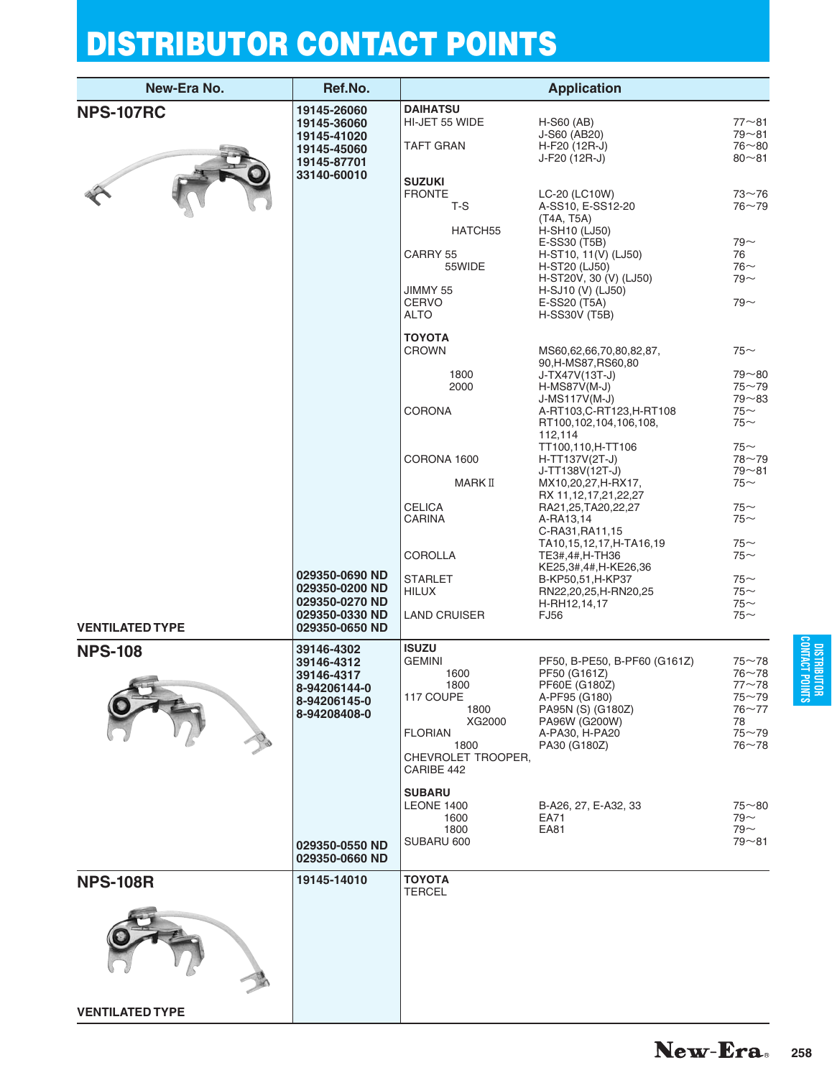| New-Era No.            | Ref.No.                          |                                    | <b>Application</b>                         |                        |
|------------------------|----------------------------------|------------------------------------|--------------------------------------------|------------------------|
| <b>NPS-107RC</b>       | 19145-26060                      | <b>DAIHATSU</b>                    |                                            |                        |
|                        | 19145-36060                      | HI-JET 55 WIDE                     | H-S60 (AB)                                 | $77 - 81$              |
|                        | 19145-41020                      |                                    | J-S60 (AB20)                               | 79~81                  |
|                        | 19145-45060                      | <b>TAFT GRAN</b>                   | H-F20 (12R-J)<br>J-F20 (12R-J)             | $76 - 80$<br>$80 - 81$ |
|                        | 19145-87701<br>33140-60010       |                                    |                                            |                        |
|                        |                                  | <b>SUZUKI</b>                      |                                            |                        |
|                        |                                  | <b>FRONTE</b><br>T-S               | LC-20 (LC10W)<br>A-SS10, E-SS12-20         | $73 - 76$<br>$76 - 79$ |
|                        |                                  |                                    | (T4A, T5A)                                 |                        |
|                        |                                  | HATCH55                            | H-SH10 (LJ50)                              |                        |
|                        |                                  |                                    | E-SS30 (T5B)                               | $79 -$                 |
|                        |                                  | CARRY 55<br>55WIDE                 | H-ST10, 11(V) (LJ50)<br>H-ST20 (LJ50)      | 76<br>$76-$            |
|                        |                                  |                                    | H-ST20V, 30 (V) (LJ50)                     | $79 -$                 |
|                        |                                  | JIMMY 55                           | H-SJ10 (V) (LJ50)                          |                        |
|                        |                                  | <b>CERVO</b>                       | E-SS20 (T5A)                               | $79 -$                 |
|                        |                                  | <b>ALTO</b>                        | <b>H-SS30V (T5B)</b>                       |                        |
|                        |                                  | <b>TOYOTA</b>                      |                                            |                        |
|                        |                                  | <b>CROWN</b>                       | MS60,62,66,70,80,82,87,                    | $75$ ~                 |
|                        |                                  |                                    | 90, H-MS87, RS60, 80                       |                        |
|                        |                                  | 1800<br>2000                       | J-TX47V(13T-J)<br>$H-MS87V(M-J)$           | $79 - 80$<br>$75 - 79$ |
|                        |                                  |                                    | J-MS117V(M-J)                              | $79 - 83$              |
|                        |                                  | <b>CORONA</b>                      | A-RT103,C-RT123,H-RT108                    | $75$ ~                 |
|                        |                                  |                                    | RT100,102,104,106,108,                     | $75$ ~                 |
|                        |                                  |                                    | 112,114<br>TT100,110,H-TT106               | $75$ ~                 |
|                        |                                  | CORONA 1600                        | H-TT137V(2T-J)                             | $78 - 79$              |
|                        |                                  |                                    | J-TT138V(12T-J)                            | $79 - 81$              |
|                        |                                  | MARK II                            | MX10,20,27,H-RX17,<br>RX 11,12,17,21,22,27 | $75$ ~                 |
|                        |                                  | <b>CELICA</b>                      | RA21,25,TA20,22,27                         | $75$ ~                 |
|                        |                                  | <b>CARINA</b>                      | A-RA13,14                                  | $75$ ~                 |
|                        |                                  |                                    | C-RA31, RA11, 15                           |                        |
|                        |                                  | <b>COROLLA</b>                     | TA10,15,12,17,H-TA16,19<br>TE3#,4#,H-TH36  | $75$ ~<br>$75$ ~       |
|                        |                                  |                                    | KE25,3#,4#,H-KE26,36                       |                        |
|                        | 029350-0690 ND                   | <b>STARLET</b>                     | B-KP50,51,H-KP37                           | $75$ ~                 |
|                        | 029350-0200 ND<br>029350-0270 ND | <b>HILUX</b>                       | RN22,20,25,H-RN20,25<br>H-RH12,14,17       | $75$ ~<br>$75$ ~       |
|                        | 029350-0330 ND                   | <b>LAND CRUISER</b>                | <b>FJ56</b>                                | $75$ ~                 |
| <b>VENTILATED TYPE</b> | 029350-0650 ND                   |                                    |                                            |                        |
| <b>NPS-108</b>         | 39146-4302                       | <b>ISUZU</b>                       |                                            |                        |
|                        | 39146-4312                       | <b>GEMINI</b>                      | PF50, B-PE50, B-PF60 (G161Z)               | $75 - 78$              |
|                        | 39146-4317                       | 1600                               | PF50 (G161Z)                               | $76 - 78$              |
|                        | 8-94206144-0                     | 1800<br>117 COUPE                  | PF60E (G180Z)<br>A-PF95 (G180)             | $77 - 78$<br>$75 - 79$ |
|                        | 8-94206145-0                     | 1800                               | PA95N (S) (G180Z)                          | $76 - 77$              |
|                        | 8-94208408-0                     | XG2000                             | PA96W (G200W)                              | 78                     |
|                        |                                  | <b>FLORIAN</b>                     | A-PA30, H-PA20                             | $75 - 79$              |
|                        |                                  | 1800<br>CHEVROLET TROOPER,         | PA30 (G180Z)                               | $76 - 78$              |
|                        |                                  | CARIBE 442                         |                                            |                        |
|                        |                                  |                                    |                                            |                        |
|                        |                                  | <b>SUBARU</b><br><b>LEONE 1400</b> | B-A26, 27, E-A32, 33                       | $75 - 80$              |
|                        |                                  | 1600                               | EA71                                       | $79 -$                 |
|                        |                                  | 1800                               | EA81                                       | $79 -$                 |
|                        | 029350-0550 ND                   | SUBARU 600                         |                                            | $79 - 81$              |
|                        | 029350-0660 ND                   |                                    |                                            |                        |
| <b>NPS-108R</b>        | 19145-14010                      | <b>TOYOTA</b>                      |                                            |                        |
|                        |                                  | <b>TERCEL</b>                      |                                            |                        |
|                        |                                  |                                    |                                            |                        |
|                        |                                  |                                    |                                            |                        |
|                        |                                  |                                    |                                            |                        |
|                        |                                  |                                    |                                            |                        |
|                        |                                  |                                    |                                            |                        |
|                        |                                  |                                    |                                            |                        |
|                        |                                  |                                    |                                            |                        |
| <b>VENTILATED TYPE</b> |                                  |                                    |                                            |                        |

DISTRIBUTOR<br>CONTACT POINTS **CONTACT POINTS DISTRIBUTOR**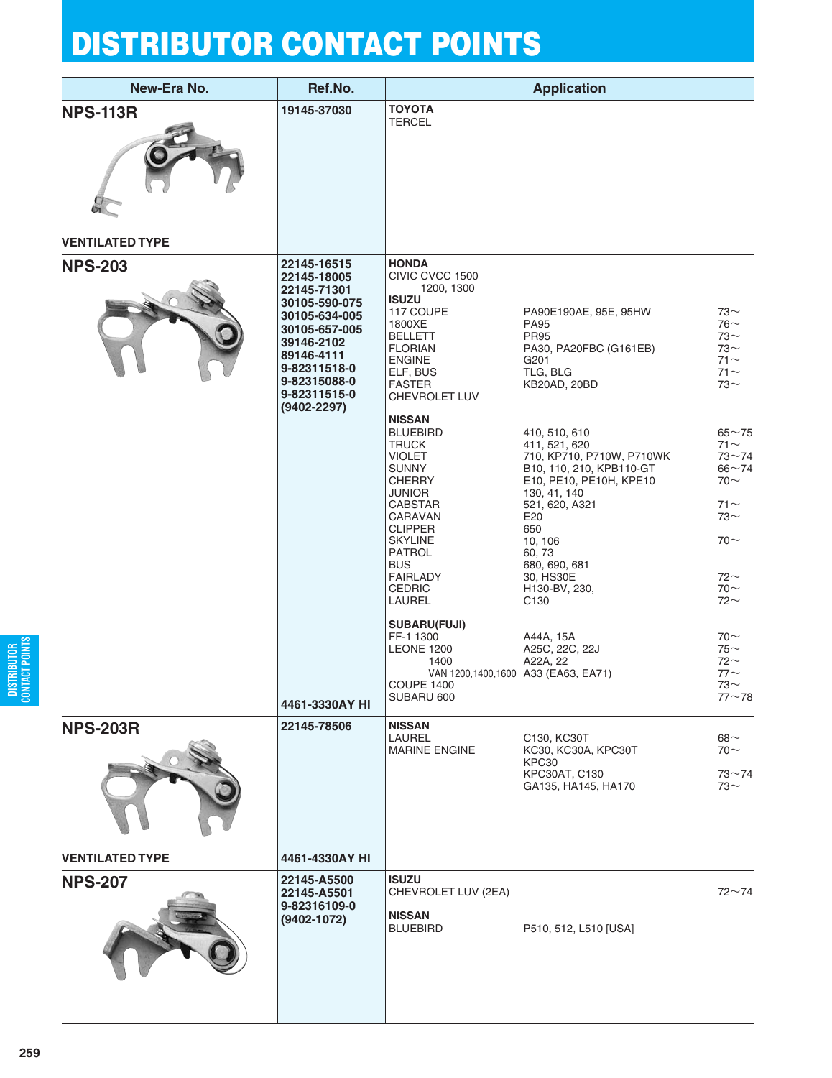| New-Era No.                               | Ref.No.                                                                                                                                                                      |                                                                                                                                                                                                                                                                                                           | <b>Application</b>                                                                                                                                                                                                                                                                        |                                                                                                                                                |
|-------------------------------------------|------------------------------------------------------------------------------------------------------------------------------------------------------------------------------|-----------------------------------------------------------------------------------------------------------------------------------------------------------------------------------------------------------------------------------------------------------------------------------------------------------|-------------------------------------------------------------------------------------------------------------------------------------------------------------------------------------------------------------------------------------------------------------------------------------------|------------------------------------------------------------------------------------------------------------------------------------------------|
| <b>NPS-113R</b><br><b>VENTILATED TYPE</b> | 19145-37030                                                                                                                                                                  | <b>TOYOTA</b><br><b>TERCEL</b>                                                                                                                                                                                                                                                                            |                                                                                                                                                                                                                                                                                           |                                                                                                                                                |
| <b>NPS-203</b>                            | 22145-16515                                                                                                                                                                  | <b>HONDA</b>                                                                                                                                                                                                                                                                                              |                                                                                                                                                                                                                                                                                           |                                                                                                                                                |
|                                           | 22145-18005<br>22145-71301<br>30105-590-075<br>30105-634-005<br>30105-657-005<br>39146-2102<br>89146-4111<br>9-82311518-0<br>9-82315088-0<br>9-82311515-0<br>$(9402 - 2297)$ | CIVIC CVCC 1500<br>1200, 1300<br><b>ISUZU</b><br>117 COUPE<br>1800XE<br><b>BELLETT</b><br><b>FLORIAN</b><br><b>ENGINE</b><br>ELF, BUS<br><b>FASTER</b><br>CHEVROLET LUV<br><b>NISSAN</b>                                                                                                                  | PA90E190AE, 95E, 95HW<br><b>PA95</b><br><b>PR95</b><br>PA30, PA20FBC (G161EB)<br>G201<br>TLG, BLG<br>KB20AD, 20BD                                                                                                                                                                         | $73-$<br>$76-$<br>$73-$<br>$73-$<br>$71 -$<br>$71 -$<br>$73~\sim$                                                                              |
|                                           |                                                                                                                                                                              | <b>BLUEBIRD</b><br><b>TRUCK</b><br><b>VIOLET</b><br><b>SUNNY</b><br><b>CHERRY</b><br><b>JUNIOR</b><br><b>CABSTAR</b><br>CARAVAN<br><b>CLIPPER</b><br><b>SKYLINE</b><br><b>PATROL</b><br><b>BUS</b><br><b>FAIRLADY</b><br><b>CEDRIC</b><br>LAUREL<br><b>SUBARU(FUJI)</b><br>FF-1 1300<br><b>LEONE 1200</b> | 410, 510, 610<br>411, 521, 620<br>710, KP710, P710W, P710WK<br>B10, 110, 210, KPB110-GT<br>E10, PE10, PE10H, KPE10<br>130, 41, 140<br>521, 620, A321<br>E20<br>650<br>10, 106<br>60, 73<br>680, 690, 681<br>30, HS30E<br>H130-BV, 230,<br>C <sub>130</sub><br>A44A, 15A<br>A25C, 22C, 22J | $65 - 75$<br>$71$ $\sim$<br>$73 - 74$<br>$66 - 74$<br>$70~\sim$<br>$71 -$<br>$73-$<br>$70-$<br>$72-$<br>$70 -$<br>$72$ ~<br>$70~\sim$<br>$75-$ |
|                                           | 4461-3330AY HI                                                                                                                                                               | 1400<br><b>COUPE 1400</b><br>SUBARU 600                                                                                                                                                                                                                                                                   | A22A, 22<br>VAN 1200,1400,1600 A33 (EA63, EA71)                                                                                                                                                                                                                                           | $72$ ~<br>$77$ ~<br>73∼<br>$77 - 78$                                                                                                           |
| <b>NPS-203R</b>                           | 22145-78506                                                                                                                                                                  | <b>NISSAN</b><br>LAUREL                                                                                                                                                                                                                                                                                   | C130, KC30T                                                                                                                                                                                                                                                                               | $68-$                                                                                                                                          |
|                                           |                                                                                                                                                                              | <b>MARINE ENGINE</b>                                                                                                                                                                                                                                                                                      | KC30, KC30A, KPC30T<br>KPC30<br>KPC30AT, C130<br>GA135, HA145, HA170                                                                                                                                                                                                                      | $70~\sim$<br>$73 - 74$<br>$73-$                                                                                                                |
| <b>VENTILATED TYPE</b>                    | 4461-4330AY HI                                                                                                                                                               |                                                                                                                                                                                                                                                                                                           |                                                                                                                                                                                                                                                                                           |                                                                                                                                                |
| <b>NPS-207</b>                            | 22145-A5500<br>22145-A5501<br>9-82316109-0<br>$(9402 - 1072)$                                                                                                                | <b>ISUZU</b><br>CHEVROLET LUV (2EA)<br><b>NISSAN</b><br><b>BLUEBIRD</b>                                                                                                                                                                                                                                   | P510, 512, L510 [USA]                                                                                                                                                                                                                                                                     | $72 - 74$                                                                                                                                      |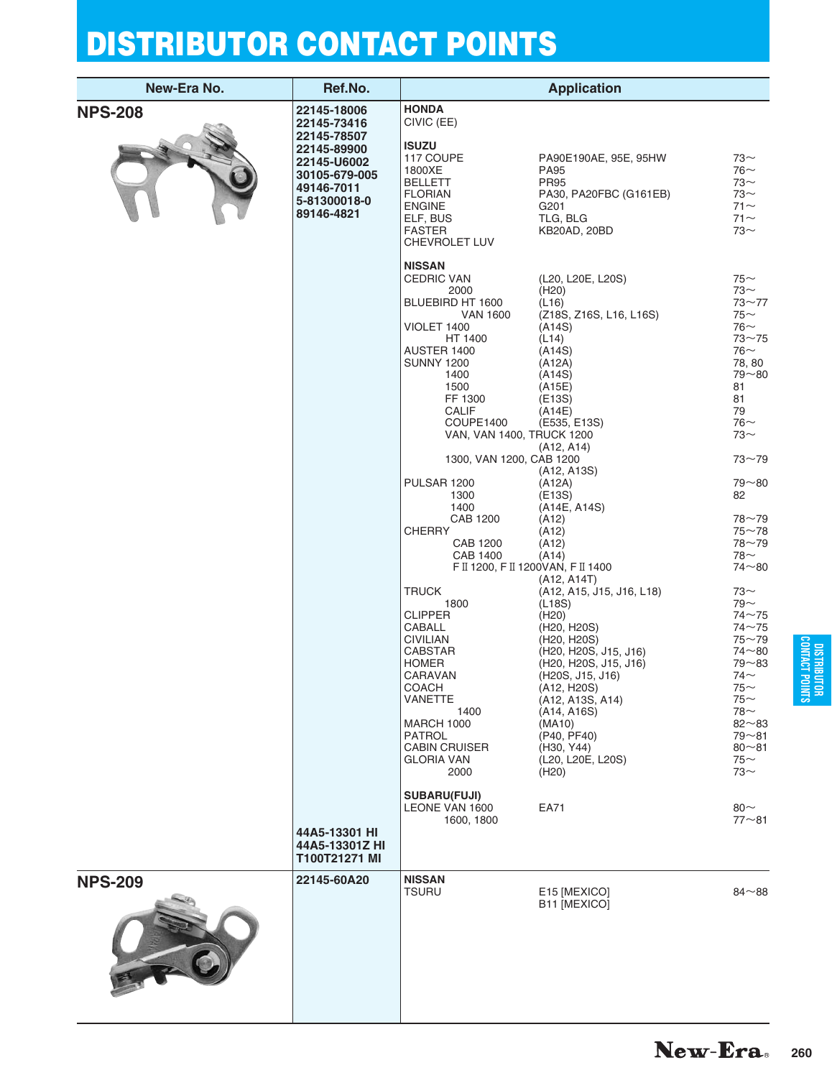| New-Era No.    | Ref.No.                                                                                                                              |                                                                                                                                                                                                                                                                                                                                                                                                                                                                                                                                                                                          | <b>Application</b>                                                                                                                                                                                                                                                                                                                                                                                                                                                                                                                                                                                              |                                                                                                                                                                                                                                                                                                                                                                                                                             |
|----------------|--------------------------------------------------------------------------------------------------------------------------------------|------------------------------------------------------------------------------------------------------------------------------------------------------------------------------------------------------------------------------------------------------------------------------------------------------------------------------------------------------------------------------------------------------------------------------------------------------------------------------------------------------------------------------------------------------------------------------------------|-----------------------------------------------------------------------------------------------------------------------------------------------------------------------------------------------------------------------------------------------------------------------------------------------------------------------------------------------------------------------------------------------------------------------------------------------------------------------------------------------------------------------------------------------------------------------------------------------------------------|-----------------------------------------------------------------------------------------------------------------------------------------------------------------------------------------------------------------------------------------------------------------------------------------------------------------------------------------------------------------------------------------------------------------------------|
| <b>NPS-208</b> | 22145-18006<br>22145-73416<br>22145-78507<br>22145-89900<br>22145-U6002<br>30105-679-005<br>49146-7011<br>5-81300018-0<br>89146-4821 | <b>HONDA</b><br>CIVIC (EE)<br><b>ISUZU</b><br>117 COUPE<br>1800XE<br><b>BELLETT</b><br><b>FLORIAN</b><br><b>ENGINE</b><br>ELF, BUS<br><b>FASTER</b><br>CHEVROLET LUV                                                                                                                                                                                                                                                                                                                                                                                                                     | PA90E190AE, 95E, 95HW<br><b>PA95</b><br><b>PR95</b><br>PA30, PA20FBC (G161EB)<br>G <sub>201</sub><br>TLG, BLG<br>KB20AD, 20BD                                                                                                                                                                                                                                                                                                                                                                                                                                                                                   | $73-$<br>$76$ ~<br>$73-$<br>$73-$<br>$71 -$<br>$71$ ~<br>$73-$                                                                                                                                                                                                                                                                                                                                                              |
|                |                                                                                                                                      | <b>NISSAN</b><br><b>CEDRIC VAN</b><br>2000<br>BLUEBIRD HT 1600<br><b>VAN 1600</b><br>VIOLET 1400<br>HT 1400<br>AUSTER 1400<br><b>SUNNY 1200</b><br>1400<br>1500<br>FF 1300<br>CALIF<br>COUPE1400<br>VAN, VAN 1400, TRUCK 1200<br>1300, VAN 1200, CAB 1200<br>PULSAR 1200<br>1300<br>1400<br>CAB 1200<br><b>CHERRY</b><br>CAB 1200<br>CAB 1400<br><b>TRUCK</b><br>1800<br><b>CLIPPER</b><br>CABALL<br><b>CIVILIAN</b><br>CABSTAR<br><b>HOMER</b><br>CARAVAN<br><b>COACH</b><br>VANETTE<br>1400<br><b>MARCH 1000</b><br><b>PATROL</b><br><b>CABIN CRUISER</b><br><b>GLORIA VAN</b><br>2000 | (L20, L20E, L20S)<br>(H20)<br>(L16)<br>(Z18S, Z16S, L16, L16S)<br>(A14S)<br>(L14)<br>(A14S)<br>(A12A)<br>(A14S)<br>(A15E)<br>(E13S)<br>(A14E)<br>(E535, E13S)<br>(A12, A14)<br>(A12, A13S)<br>(A12A)<br>(E13S)<br>(A14E, A14S)<br>(A12)<br>(A12)<br>(A12)<br>(A14)<br>F II 1200, F II 1200VAN, F II 1400<br>(A12, A14T)<br>(A12, A15, J15, J16, L18)<br>(L18S)<br>(H20)<br>(H20, H20S)<br>(H20, H20S)<br>(H20, H20S, J15, J16)<br>(H20, H20S, J15, J16)<br>(H20S, J15, J16)<br>(A12, H20S)<br>(A12, A13S, A14)<br>(A14, A16S)<br>(MA10)<br>(P40, PF40)<br>(H30, Y44)<br>(L20, L20E, L20S)<br>(H <sub>20</sub> ) | $75$ ~<br>$73\sim$<br>$73 - 77$<br>$75$ ~<br>$76-$<br>$73 - 75$<br>$76$ ~<br>78, 80<br>$79 - 80$<br>81<br>81<br>79<br>$76-$<br>$73-$<br>$73 - 79$<br>$79 - 80$<br>82<br>$78 - 79$<br>$75 - 78$<br>$78 - 79$<br>78∼<br>$74 - 80$<br>$73\sim$<br>$79 -$<br>$74 - 75$<br>$74 - 75$<br>$75 - 79$<br>$74 - 80$<br>$79 - 83$<br>74 $\sim$<br>$75$ ~<br>$75$ ~<br>$78-$<br>$82 - 83$<br>$79 - 81$<br>$80 - 81$<br>$75$ ~<br>$73$ ~ |
|                | 44A5-13301 HI<br>44A5-13301Z HI<br>T100T21271 MI                                                                                     | <b>SUBARU(FUJI)</b><br>LEONE VAN 1600<br>1600, 1800                                                                                                                                                                                                                                                                                                                                                                                                                                                                                                                                      | EA71                                                                                                                                                                                                                                                                                                                                                                                                                                                                                                                                                                                                            | 80 $\sim$<br>$77 - 81$                                                                                                                                                                                                                                                                                                                                                                                                      |
| <b>NPS-209</b> | 22145-60A20                                                                                                                          | <b>NISSAN</b><br><b>TSURU</b>                                                                                                                                                                                                                                                                                                                                                                                                                                                                                                                                                            | E15 [MEXICO]<br>B11 [MEXICO]                                                                                                                                                                                                                                                                                                                                                                                                                                                                                                                                                                                    | $84 - 88$                                                                                                                                                                                                                                                                                                                                                                                                                   |

DISTRIBUTOR<br>CONTACT POINTS **CONTACT POINTS DISTRIBUTOR**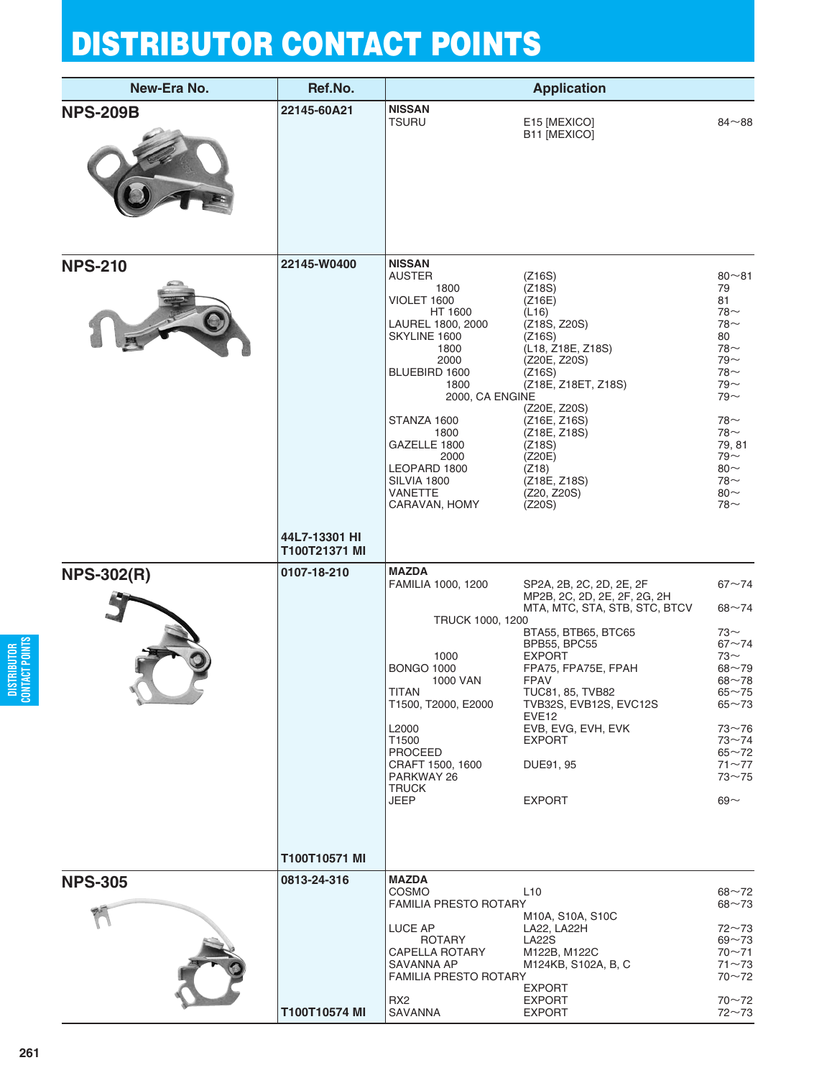| New-Era No.       | Ref.No.                        |                                                                                                                                                                                                                                             | <b>Application</b>                                                                                                                                                                                                                                                                                                              |                                                                                                                                                                                        |
|-------------------|--------------------------------|---------------------------------------------------------------------------------------------------------------------------------------------------------------------------------------------------------------------------------------------|---------------------------------------------------------------------------------------------------------------------------------------------------------------------------------------------------------------------------------------------------------------------------------------------------------------------------------|----------------------------------------------------------------------------------------------------------------------------------------------------------------------------------------|
| <b>NPS-209B</b>   | 22145-60A21                    | <b>NISSAN</b><br><b>TSURU</b>                                                                                                                                                                                                               | E15 [MEXICO]<br>B11 [MEXICO]                                                                                                                                                                                                                                                                                                    | $84 - 88$                                                                                                                                                                              |
| <b>NPS-210</b>    | 22145-W0400                    | <b>NISSAN</b><br><b>AUSTER</b><br>1800<br>VIOLET 1600<br>HT 1600<br>LAUREL 1800, 2000<br>SKYLINE 1600<br>1800<br>2000<br>BLUEBIRD 1600                                                                                                      | (Z16S)<br>(Z18S)<br>(Z16E)<br>(L16)<br>(Z18S, Z20S)<br>(Z16S)<br>(L18, Z18E, Z18S)<br>(Z20E, Z20S)<br>(Z16S)                                                                                                                                                                                                                    | $80 - 81$<br>79<br>81<br>78 $\sim$<br>$78-$<br>80<br>$78-$<br>$79 -$<br>$78-$                                                                                                          |
|                   |                                | 1800<br>2000, CA ENGINE<br>STANZA 1600<br>1800<br>GAZELLE 1800<br>2000<br>LEOPARD 1800<br>SILVIA 1800<br><b>VANETTE</b><br>CARAVAN, HOMY                                                                                                    | (Z18E, Z18ET, Z18S)<br>(Z20E, Z20S)<br>(Z16E, Z16S)<br>(Z18E, Z18S)<br>(Z18S)<br>(Z20E)<br>(Z18)<br>(Z18E, Z18S)<br>(Z20, Z20S)<br>(Z20S)                                                                                                                                                                                       | $79 -$<br>$79 -$<br>$78-$<br>$78~\sim$<br>79, 81<br>$79 -$<br>$80 -$<br>$78~\sim$<br>$80 -$<br>$78-$                                                                                   |
|                   | 44L7-13301 HI<br>T100T21371 MI |                                                                                                                                                                                                                                             |                                                                                                                                                                                                                                                                                                                                 |                                                                                                                                                                                        |
| <b>NPS-302(R)</b> | 0107-18-210                    | <b>MAZDA</b><br>FAMILIA 1000, 1200<br>TRUCK 1000, 1200<br>1000<br><b>BONGO 1000</b><br>1000 VAN<br><b>TITAN</b><br>T1500, T2000, E2000<br>L2000<br>T1500<br><b>PROCEED</b><br>CRAFT 1500, 1600<br>PARKWAY 26<br><b>TRUCK</b><br><b>JEEP</b> | SP2A, 2B, 2C, 2D, 2E, 2F<br>MP2B, 2C, 2D, 2E, 2F, 2G, 2H<br>MTA, MTC, STA, STB, STC, BTCV<br>BTA55, BTB65, BTC65<br><b>BPB55, BPC55</b><br><b>EXPORT</b><br>FPA75, FPA75E, FPAH<br>FPAV<br>TUC81, 85, TVB82<br>TVB32S, EVB12S, EVC12S<br>EVE <sub>12</sub><br>EVB, EVG, EVH, EVK<br><b>EXPORT</b><br>DUE91, 95<br><b>EXPORT</b> | $67 - 74$<br>$68 - 74$<br>73∼<br>$67 - 74$<br>73 $\sim$<br>$68 - 79$<br>$68 - 78$<br>$65 - 75$<br>$65 - 73$<br>$73 - 76$<br>$73 - 74$<br>$65 - 72$<br>$71 - 77$<br>$73 - 75$<br>$69 -$ |
|                   | T100T10571 MI                  |                                                                                                                                                                                                                                             |                                                                                                                                                                                                                                                                                                                                 |                                                                                                                                                                                        |
| <b>NPS-305</b>    | 0813-24-316                    | <b>MAZDA</b><br>COSMO<br>FAMILIA PRESTO ROTARY                                                                                                                                                                                              | L10<br>M10A, S10A, S10C                                                                                                                                                                                                                                                                                                         | $68 - 72$<br>$68 - 73$                                                                                                                                                                 |
|                   |                                | LUCE AP<br><b>ROTARY</b><br><b>CAPELLA ROTARY</b><br>SAVANNA AP<br><b>FAMILIA PRESTO ROTARY</b>                                                                                                                                             | LA22, LA22H<br><b>LA22S</b><br>M122B, M122C<br>M124KB, S102A, B, C<br><b>EXPORT</b>                                                                                                                                                                                                                                             | $72 - 73$<br>$69 - 73$<br>$70 - 71$<br>$71 - 73$<br>$70 - 72$                                                                                                                          |
|                   | T100T10574 MI                  | RX <sub>2</sub><br>SAVANNA                                                                                                                                                                                                                  | <b>EXPORT</b><br><b>EXPORT</b>                                                                                                                                                                                                                                                                                                  | $70 - 72$<br>$72 - 73$                                                                                                                                                                 |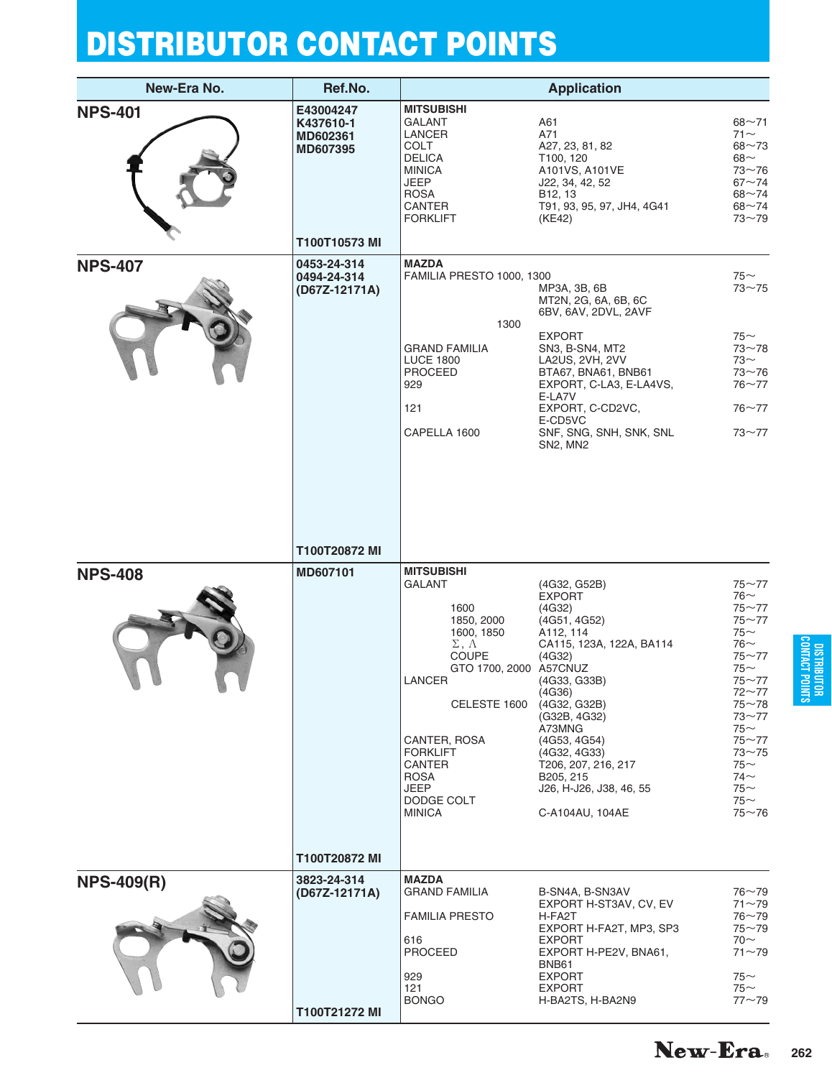| New-Era No.       | Ref.No.                                                         |                                                                                                                                                                                                                                                                              | <b>Application</b>                                                                                                                                                                                                                                                                               |                                                                                                                                                                                                                                        |
|-------------------|-----------------------------------------------------------------|------------------------------------------------------------------------------------------------------------------------------------------------------------------------------------------------------------------------------------------------------------------------------|--------------------------------------------------------------------------------------------------------------------------------------------------------------------------------------------------------------------------------------------------------------------------------------------------|----------------------------------------------------------------------------------------------------------------------------------------------------------------------------------------------------------------------------------------|
| <b>NPS-401</b>    | E43004247<br>K437610-1<br>MD602361<br>MD607395<br>T100T10573 MI | <b>MITSUBISHI</b><br><b>GALANT</b><br><b>LANCER</b><br>COLT<br><b>DELICA</b><br><b>MINICA</b><br><b>JEEP</b><br><b>ROSA</b><br><b>CANTER</b><br><b>FORKLIFT</b>                                                                                                              | A61<br>A71<br>A27, 23, 81, 82<br>T <sub>100</sub> , 120<br>A101VS, A101VE<br>J22, 34, 42, 52<br>B <sub>12</sub> , 13<br>T91, 93, 95, 97, JH4, 4G41<br>(KE42)                                                                                                                                     | $68 - 71$<br>$71$ ~<br>$68 - 73$<br>$68\sim$<br>$73 - 76$<br>$67 - 74$<br>$68 - 74$<br>$68 - 74$<br>$73 - 79$                                                                                                                          |
| <b>NPS-407</b>    | 0453-24-314<br>0494-24-314<br>(D67Z-12171A)                     | <b>MAZDA</b><br>FAMILIA PRESTO 1000, 1300<br>1300<br><b>GRAND FAMILIA</b><br><b>LUCE 1800</b><br><b>PROCEED</b><br>929<br>121<br>CAPELLA 1600                                                                                                                                | MP3A, 3B, 6B<br>MT2N, 2G, 6A, 6B, 6C<br>6BV, 6AV, 2DVL, 2AVF<br><b>EXPORT</b><br>SN3, B-SN4, MT2<br>LA2US, 2VH, 2VV<br>BTA67, BNA61, BNB61<br>EXPORT, C-LA3, E-LA4VS,<br>E-LA7V<br>EXPORT, C-CD2VC,<br>E-CD5VC<br>SNF, SNG, SNH, SNK, SNL<br>SN2, MN2                                            | $75$ ~<br>$73 - 75$<br>$75$ ~<br>$73 - 78$<br>73∼<br>$73 - 76$<br>$76 - 77$<br>$76 - 77$<br>$73 - 77$                                                                                                                                  |
| <b>NPS-408</b>    | T100T20872 MI<br>MD607101                                       | <b>MITSUBISHI</b><br><b>GALANT</b><br>1600<br>1850, 2000<br>1600, 1850<br>$\Sigma$ , $\Lambda$<br><b>COUPE</b><br>GTO 1700, 2000 A57CNUZ<br>LANCER<br>CELESTE 1600<br>CANTER, ROSA<br><b>FORKLIFT</b><br>CANTER<br><b>ROSA</b><br><b>JEEP</b><br>DODGE COLT<br><b>MINICA</b> | (4G32, G52B)<br><b>EXPORT</b><br>(4G32)<br>(4G51, 4G52)<br>A112, 114<br>CA115, 123A, 122A, BA114<br>(4G32)<br>(4G33, G33B)<br>(4G36)<br>(4G32, G32B)<br>(G32B, 4G32)<br>A73MNG<br>(4G53, 4G54)<br>(4G32, 4G33)<br>T206, 207, 216, 217<br>B205, 215<br>J26, H-J26, J38, 46, 55<br>C-A104AU, 104AE | $75 - 77$<br>$76$ ~<br>$75 - 77$<br>$75 - 77$<br>$75$ ~<br>$76$ ~<br>$75 - 77$<br>$75$ ~<br>$75 - 77$<br>$72 - 77$<br>$75 - 78$<br>$73 - 77$<br>75 $\sim$<br>$75 - 77$<br>$73 - 75$<br>$75-$<br>$74$ ~<br>$75-$<br>$75$ ~<br>$75 - 76$ |
| <b>NPS-409(R)</b> | T100T20872 MI<br>3823-24-314<br>(D67Z-12171A)<br>T100T21272 MI  | <b>MAZDA</b><br><b>GRAND FAMILIA</b><br><b>FAMILIA PRESTO</b><br>616<br><b>PROCEED</b><br>929<br>121<br><b>BONGO</b>                                                                                                                                                         | B-SN4A, B-SN3AV<br>EXPORT H-ST3AV, CV, EV<br>H-FA2T<br>EXPORT H-FA2T, MP3, SP3<br><b>EXPORT</b><br>EXPORT H-PE2V, BNA61,<br>BNB61<br><b>EXPORT</b><br><b>EXPORT</b><br>H-BA2TS, H-BA2N9                                                                                                          | $76 - 79$<br>$71 - 79$<br>$76 - 79$<br>$75 - 79$<br>$70~\sim$<br>$71 - 79$<br>$75-$<br>$75$ ~<br>$77 - 79$                                                                                                                             |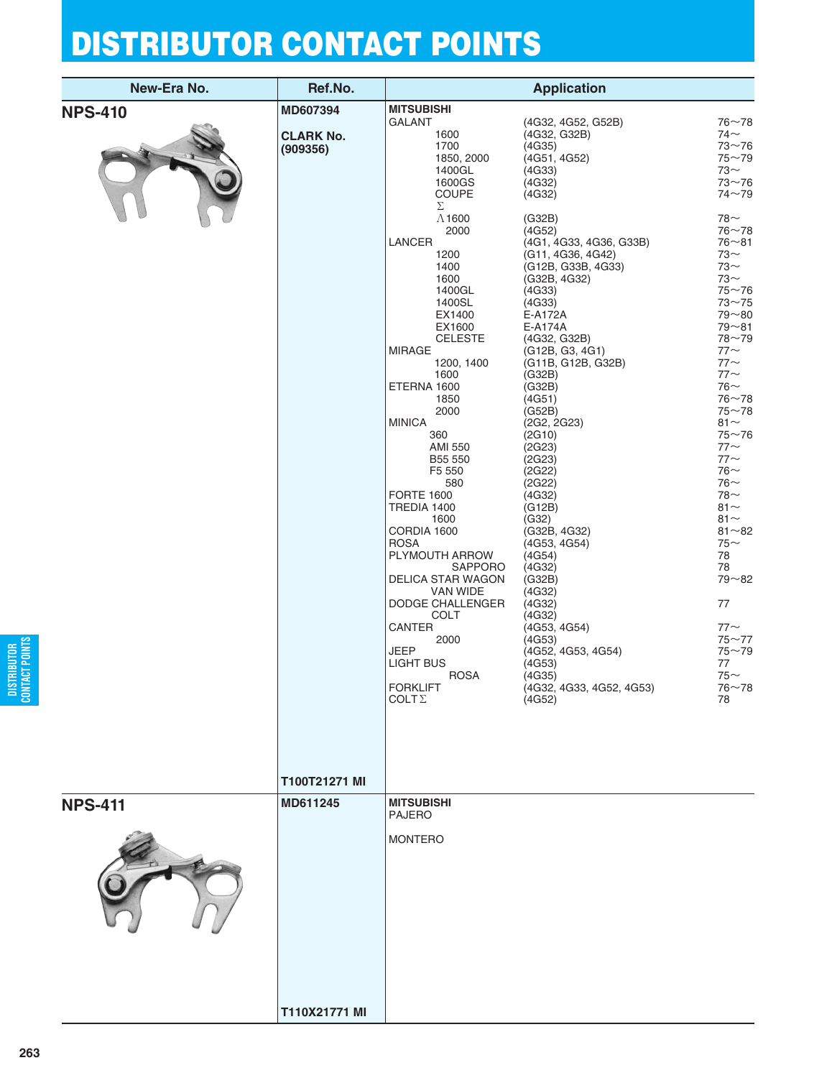| Ref.No.                      |                                                                                                                                                                                                                                   | <b>Application</b>                                                                                                                                                                                                       |                                                                                                                                                                                                           |
|------------------------------|-----------------------------------------------------------------------------------------------------------------------------------------------------------------------------------------------------------------------------------|--------------------------------------------------------------------------------------------------------------------------------------------------------------------------------------------------------------------------|-----------------------------------------------------------------------------------------------------------------------------------------------------------------------------------------------------------|
| MD607394                     | <b>MITSUBISHI</b>                                                                                                                                                                                                                 |                                                                                                                                                                                                                          |                                                                                                                                                                                                           |
| <b>CLARK No.</b><br>(909356) | <b>GALANT</b><br>1600<br>1700<br>1850, 2000<br>1400GL<br>1600GS<br><b>COUPE</b><br>Σ<br>$\Lambda$ 1600<br>2000<br>LANCER<br>1200<br>1400<br>1600<br>1400GL<br>1400SL                                                              | (4G32, 4G52, G52B)<br>(4G32, G32B)<br>(4G35)<br>(4G51, 4G52)<br>(4G33)<br>(4G32)<br>(4G32)<br>(G32B)<br>(4G52)<br>(4G1, 4G33, 4G36, G33B)<br>(G11, 4G36, 4G42)<br>(G12B, G33B, 4G33)<br>(G32B, 4G32)<br>(4G33)<br>(4G33) | $76 - 78$<br>$74$ $\sim$<br>$73 - 76$<br>$75 - 79$<br>73 $\sim$<br>$73 - 76$<br>$74 - 79$<br>78∼<br>$76 - 78$<br>$76 - 81$<br>73 $\sim$<br>$73$ ~<br>$73$ ~<br>$75 - 76$<br>$73 - 75$<br>$79 - 80$        |
|                              | EX1600<br><b>CELESTE</b><br><b>MIRAGE</b><br>1200, 1400<br>1600<br>ETERNA 1600<br>1850<br>2000<br><b>MINICA</b><br>360<br><b>AMI 550</b><br>B55 550<br>F5 550<br>580<br><b>FORTE 1600</b><br>TREDIA 1400<br>1600                  | E-A174A<br>(4G32, G32B)<br>(G12B, G3, 4G1)<br>(G11B, G12B, G32B)<br>(G32B)<br>(G32B)<br>(4G51)<br>(G52B)<br>(2G2, 2G23)<br>(2G10)<br>(2G23)<br>(2G23)<br>(2G22)<br>(2G22)<br>(4G32)<br>(G12B)<br>(G32)                   | $79 - 81$<br>$78 - 79$<br>$77$ ~<br>$77$ ~<br>$77$ ~<br>$76$ ~<br>$76 - 78$<br>$75 - 78$<br>81 $\sim$<br>$75 - 76$<br>$77$ ~<br>$77$ $\sim$<br>$76$ ~<br>$76$ ~<br>$78-$<br>$81 -$<br>$81 -$<br>$81 - 82$ |
|                              | <b>ROSA</b><br>PLYMOUTH ARROW<br><b>SAPPORO</b><br>DELICA STAR WAGON<br>VAN WIDE<br>DODGE CHALLENGER<br><b>COLT</b><br><b>CANTER</b><br>2000<br><b>JEEP</b><br><b>LIGHT BUS</b><br><b>ROSA</b><br><b>FORKLIFT</b><br>$COLT\Sigma$ | (4G53, 4G54)<br>(4G54)<br>(4G32)<br>(G32B)<br>(4G32)<br>(4G32)<br>(4G32)<br>(4G53, 4G54)<br>(4G53)<br>(4G52, 4G53, 4G54)<br>(4G53)<br>(4G35)<br>(4G32, 4G33, 4G52, 4G53)<br>(4G52)                                       | $75$ ~<br>78<br>78<br>$79 - 82$<br>77<br>$77$ ~<br>$75 - 77$<br>$75 - 79$<br>77<br>$75$ ~<br>$76 - 78$<br>78                                                                                              |
| T100T21271 MI                |                                                                                                                                                                                                                                   |                                                                                                                                                                                                                          |                                                                                                                                                                                                           |
| MD611245                     | <b>MITSUBISHI</b><br><b>PAJERO</b><br><b>MONTERO</b>                                                                                                                                                                              |                                                                                                                                                                                                                          |                                                                                                                                                                                                           |
|                              | T110X21771 MI                                                                                                                                                                                                                     | EX1400<br>CORDIA 1600                                                                                                                                                                                                    | E-A172A<br>(G32B, 4G32)                                                                                                                                                                                   |